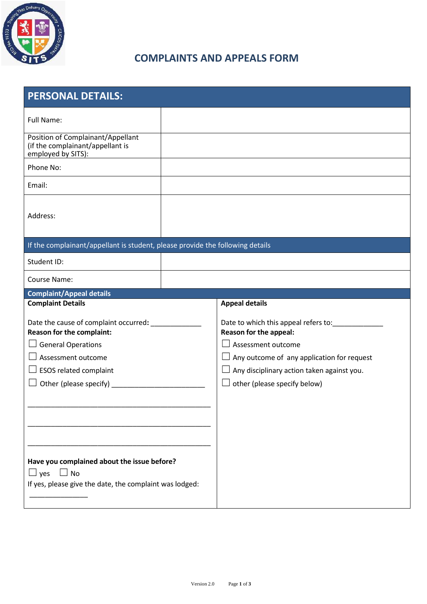

## **COMPLAINTS AND APPEALS FORM**

| <b>PERSONAL DETAILS:</b>                                                                                                          |  |                                                                                                          |
|-----------------------------------------------------------------------------------------------------------------------------------|--|----------------------------------------------------------------------------------------------------------|
| <b>Full Name:</b>                                                                                                                 |  |                                                                                                          |
| Position of Complainant/Appellant<br>(if the complainant/appellant is<br>employed by SITS):                                       |  |                                                                                                          |
| Phone No:                                                                                                                         |  |                                                                                                          |
| Email:                                                                                                                            |  |                                                                                                          |
| Address:                                                                                                                          |  |                                                                                                          |
| If the complainant/appellant is student, please provide the following details                                                     |  |                                                                                                          |
| Student ID:                                                                                                                       |  |                                                                                                          |
| Course Name:                                                                                                                      |  |                                                                                                          |
| <b>Complaint/Appeal details</b>                                                                                                   |  |                                                                                                          |
| <b>Complaint Details</b>                                                                                                          |  | <b>Appeal details</b>                                                                                    |
| Date the cause of complaint occurred: __________<br><b>Reason for the complaint:</b>                                              |  | Date to which this appeal refers to: [10] Date to which this appeal refers to:<br>Reason for the appeal: |
| $\Box$ General Operations                                                                                                         |  | Assessment outcome<br>$\overline{\phantom{0}}$                                                           |
| Assessment outcome                                                                                                                |  | $\Box$ Any outcome of any application for request                                                        |
| $\Box$ ESOS related complaint                                                                                                     |  | Any disciplinary action taken against you.                                                               |
|                                                                                                                                   |  | other (please specify below)<br>$\Box$                                                                   |
|                                                                                                                                   |  |                                                                                                          |
|                                                                                                                                   |  |                                                                                                          |
|                                                                                                                                   |  |                                                                                                          |
|                                                                                                                                   |  |                                                                                                          |
| Have you complained about the issue before?<br>$\Box$ No<br>$\Box$ yes<br>If yes, please give the date, the complaint was lodged: |  |                                                                                                          |
|                                                                                                                                   |  |                                                                                                          |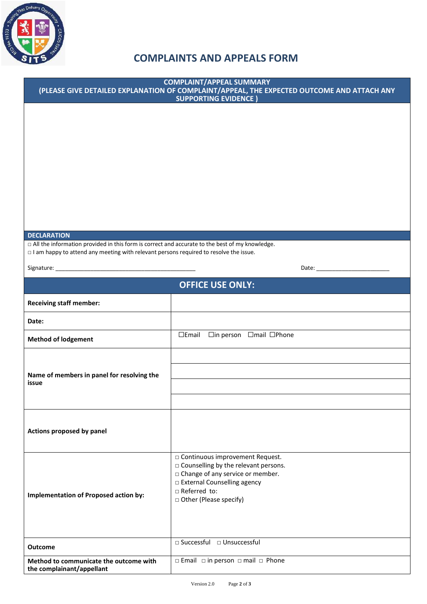

## **COMPLAINTS AND APPEALS FORM**

| <b>COMPLAINT/APPEAL SUMMARY</b><br>(PLEASE GIVE DETAILED EXPLANATION OF COMPLAINT/APPEAL, THE EXPECTED OUTCOME AND ATTACH ANY<br><b>SUPPORTING EVIDENCE)</b>                                          |                                                                                                                                                                                                  |  |
|-------------------------------------------------------------------------------------------------------------------------------------------------------------------------------------------------------|--------------------------------------------------------------------------------------------------------------------------------------------------------------------------------------------------|--|
|                                                                                                                                                                                                       |                                                                                                                                                                                                  |  |
| <b>DECLARATION</b>                                                                                                                                                                                    |                                                                                                                                                                                                  |  |
| $\Box$ All the information provided in this form is correct and accurate to the best of my knowledge.<br>$\Box$ I am happy to attend any meeting with relevant persons required to resolve the issue. |                                                                                                                                                                                                  |  |
|                                                                                                                                                                                                       |                                                                                                                                                                                                  |  |
|                                                                                                                                                                                                       | <b>OFFICE USE ONLY:</b>                                                                                                                                                                          |  |
| <b>Receiving staff member:</b>                                                                                                                                                                        |                                                                                                                                                                                                  |  |
| Date:                                                                                                                                                                                                 |                                                                                                                                                                                                  |  |
| <b>Method of lodgement</b>                                                                                                                                                                            | □Email □in person □mail □Phone                                                                                                                                                                   |  |
| Name of members in panel for resolving the<br>issue                                                                                                                                                   |                                                                                                                                                                                                  |  |
| Actions proposed by panel                                                                                                                                                                             |                                                                                                                                                                                                  |  |
| <b>Implementation of Proposed action by:</b>                                                                                                                                                          | □ Continuous improvement Request.<br>□ Counselling by the relevant persons.<br>□ Change of any service or member.<br>□ External Counselling agency<br>□ Referred to:<br>□ Other (Please specify) |  |
| <b>Outcome</b>                                                                                                                                                                                        | □ Successful □ Unsuccessful                                                                                                                                                                      |  |
| Method to communicate the outcome with<br>the complainant/appellant                                                                                                                                   | $\Box$ Email $\Box$ in person $\Box$ mail $\Box$ Phone                                                                                                                                           |  |